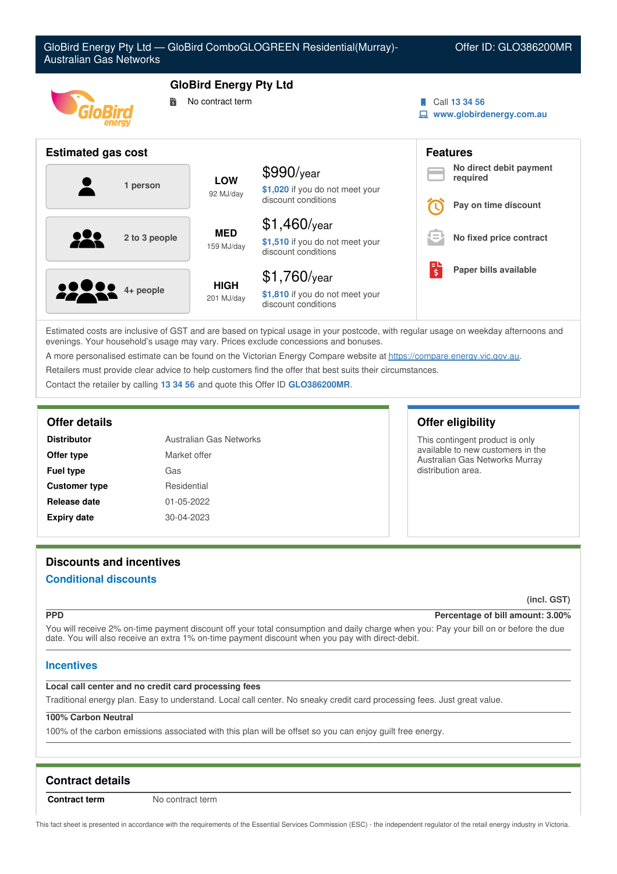

Estimated costs are inclusive of GST and are based on typical usage in your postcode, with regular usage on weekday afternoons and evenings. Your household's usage may vary. Prices exclude concessions and bonuses.

A more personalised estimate can be found on the Victorian Energy Compare website at <https://compare.energy.vic.gov.au>.

Retailers must provide clear advice to help customers find the offer that best suits their circumstances.

Contact the retailer by calling **13 34 56** and quote this Offer ID **GLO386200MR**.

| <b>Distributor</b>   | Australian Gas Networks |  |
|----------------------|-------------------------|--|
| Offer type           | Market offer            |  |
| <b>Fuel type</b>     | Gas                     |  |
| <b>Customer type</b> | Residential             |  |
| Release date         | 01-05-2022              |  |
| <b>Expiry date</b>   | 30-04-2023              |  |

### **Offer details Offer eligibility**

This contingent product is only available to new customers in the Australian Gas Networks Murray distribution area.

# **Discounts and incentives**

### **Conditional discounts**

**(incl. GST)**

#### **PPD Percentage of bill amount: 3.00%**

You will receive 2% on-time payment discount off your total consumption and daily charge when you: Pay your bill on or before the due date. You will also receive an extra 1% on-time payment discount when you pay with direct-debit.

### **Incentives**

### **Local call center and no credit card processing fees**

Traditional energy plan. Easy to understand. Local call center. No sneaky credit card processing fees. Just great value.

### **100% Carbon Neutral**

100% of the carbon emissions associated with this plan will be offset so you can enjoy guilt free energy.

## **Contract details**

**Contract term** No contract term

This fact sheet is presented in accordance with the requirements of the Essential Services Commission (ESC) - the independent regulator of the retail energy industry in Victoria.